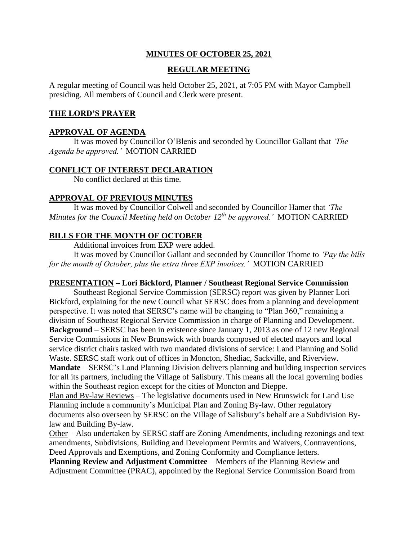# **MINUTES OF OCTOBER 25, 2021**

# **REGULAR MEETING**

A regular meeting of Council was held October 25, 2021, at 7:05 PM with Mayor Campbell presiding. All members of Council and Clerk were present.

### **THE LORD'S PRAYER**

### **APPROVAL OF AGENDA**

It was moved by Councillor O'Blenis and seconded by Councillor Gallant that *'The Agenda be approved.'* MOTION CARRIED

### **CONFLICT OF INTEREST DECLARATION**

No conflict declared at this time.

### **APPROVAL OF PREVIOUS MINUTES**

It was moved by Councillor Colwell and seconded by Councillor Hamer that *'The Minutes for the Council Meeting held on October 12th be approved.'* MOTION CARRIED

### **BILLS FOR THE MONTH OF OCTOBER**

Additional invoices from EXP were added.

It was moved by Councillor Gallant and seconded by Councillor Thorne to *'Pay the bills for the month of October, plus the extra three EXP invoices.'* MOTION CARRIED

#### **PRESENTATION – Lori Bickford, Planner / Southeast Regional Service Commission**

Southeast Regional Service Commission (SERSC) report was given by Planner Lori Bickford, explaining for the new Council what SERSC does from a planning and development perspective. It was noted that SERSC's name will be changing to "Plan 360," remaining a division of Southeast Regional Service Commission in charge of Planning and Development. **Background** – SERSC has been in existence since January 1, 2013 as one of 12 new Regional Service Commissions in New Brunswick with boards composed of elected mayors and local service district chairs tasked with two mandated divisions of service: Land Planning and Solid Waste. SERSC staff work out of offices in Moncton, Shediac, Sackville, and Riverview. **Mandate** – SERSC's Land Planning Division delivers planning and building inspection services for all its partners, including the Village of Salisbury. This means all the local governing bodies within the Southeast region except for the cities of Moncton and Dieppe.

Plan and By-law Reviews – The legislative documents used in New Brunswick for Land Use Planning include a community's Municipal Plan and Zoning By-law. Other regulatory documents also overseen by SERSC on the Village of Salisbury's behalf are a Subdivision Bylaw and Building By-law.

Other – Also undertaken by SERSC staff are Zoning Amendments, including rezonings and text amendments, Subdivisions, Building and Development Permits and Waivers, Contraventions, Deed Approvals and Exemptions, and Zoning Conformity and Compliance letters.

**Planning Review and Adjustment Committee** – Members of the Planning Review and Adjustment Committee (PRAC), appointed by the Regional Service Commission Board from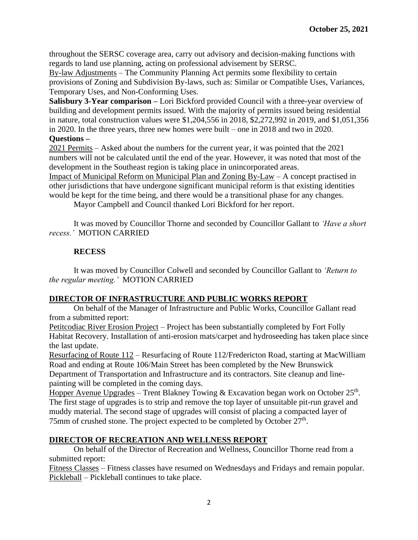throughout the SERSC coverage area, carry out advisory and decision-making functions with regards to land use planning, acting on professional advisement by SERSC.

By-law Adjustments – The Community Planning Act permits some flexibility to certain provisions of Zoning and Subdivision By-laws, such as: Similar or Compatible Uses, Variances, Temporary Uses, and Non-Conforming Uses.

**Salisbury 3-Year comparison –** Lori Bickford provided Council with a three-year overview of building and development permits issued. With the majority of permits issued being residential in nature, total construction values were \$1,204,556 in 2018, \$2,272,992 in 2019, and \$1,051,356 in 2020. In the three years, three new homes were built – one in 2018 and two in 2020.

# **Questions –**

2021 Permits – Asked about the numbers for the current year, it was pointed that the 2021 numbers will not be calculated until the end of the year. However, it was noted that most of the development in the Southeast region is taking place in unincorporated areas.

Impact of Municipal Reform on Municipal Plan and Zoning By-Law – A concept practised in other jurisdictions that have undergone significant municipal reform is that existing identities would be kept for the time being, and there would be a transitional phase for any changes.

Mayor Campbell and Council thanked Lori Bickford for her report.

It was moved by Councillor Thorne and seconded by Councillor Gallant to *'Have a short recess.'* MOTION CARRIED

# **RECESS**

It was moved by Councillor Colwell and seconded by Councillor Gallant to *'Return to the regular meeting.'* MOTION CARRIED

# **DIRECTOR OF INFRASTRUCTURE AND PUBLIC WORKS REPORT**

On behalf of the Manager of Infrastructure and Public Works, Councillor Gallant read from a submitted report:

Petitcodiac River Erosion Project – Project has been substantially completed by Fort Folly Habitat Recovery. Installation of anti-erosion mats/carpet and hydroseeding has taken place since the last update.

Resurfacing of Route 112 – Resurfacing of Route 112/Fredericton Road, starting at MacWilliam Road and ending at Route 106/Main Street has been completed by the New Brunswick Department of Transportation and Infrastructure and its contractors. Site cleanup and linepainting will be completed in the coming days.

Hopper Avenue Upgrades – Trent Blakney Towing & Excavation began work on October  $25<sup>th</sup>$ . The first stage of upgrades is to strip and remove the top layer of unsuitable pit-run gravel and muddy material. The second stage of upgrades will consist of placing a compacted layer of 75mm of crushed stone. The project expected to be completed by October 27<sup>th</sup>.

# **DIRECTOR OF RECREATION AND WELLNESS REPORT**

On behalf of the Director of Recreation and Wellness, Councillor Thorne read from a submitted report:

Fitness Classes – Fitness classes have resumed on Wednesdays and Fridays and remain popular. Pickleball – Pickleball continues to take place.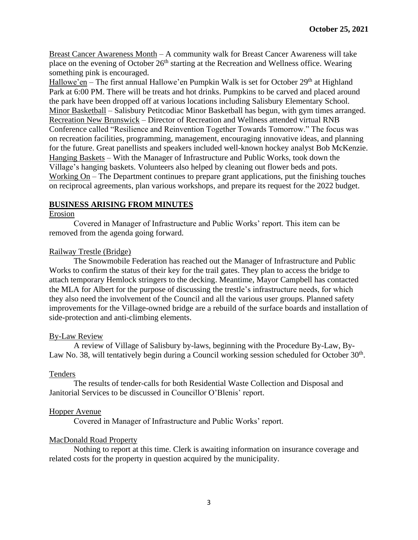Breast Cancer Awareness Month – A community walk for Breast Cancer Awareness will take place on the evening of October  $26<sup>th</sup>$  starting at the Recreation and Wellness office. Wearing something pink is encouraged.

Hallowe'en – The first annual Hallowe'en Pumpkin Walk is set for October  $29<sup>th</sup>$  at Highland Park at 6:00 PM. There will be treats and hot drinks. Pumpkins to be carved and placed around the park have been dropped off at various locations including Salisbury Elementary School. Minor Basketball – Salisbury Petitcodiac Minor Basketball has begun, with gym times arranged. Recreation New Brunswick – Director of Recreation and Wellness attended virtual RNB Conference called "Resilience and Reinvention Together Towards Tomorrow." The focus was on recreation facilities, programming, management, encouraging innovative ideas, and planning for the future. Great panellists and speakers included well-known hockey analyst Bob McKenzie. Hanging Baskets – With the Manager of Infrastructure and Public Works, took down the Village's hanging baskets. Volunteers also helped by cleaning out flower beds and pots. Working On – The Department continues to prepare grant applications, put the finishing touches on reciprocal agreements, plan various workshops, and prepare its request for the 2022 budget.

# **BUSINESS ARISING FROM MINUTES**

### Erosion

Covered in Manager of Infrastructure and Public Works' report. This item can be removed from the agenda going forward.

### Railway Trestle (Bridge)

The Snowmobile Federation has reached out the Manager of Infrastructure and Public Works to confirm the status of their key for the trail gates. They plan to access the bridge to attach temporary Hemlock stringers to the decking. Meantime, Mayor Campbell has contacted the MLA for Albert for the purpose of discussing the trestle's infrastructure needs, for which they also need the involvement of the Council and all the various user groups. Planned safety improvements for the Village-owned bridge are a rebuild of the surface boards and installation of side-protection and anti-climbing elements.

### By-Law Review

A review of Village of Salisbury by-laws, beginning with the Procedure By-Law, By-Law No. 38, will tentatively begin during a Council working session scheduled for October  $30<sup>th</sup>$ .

### Tenders

The results of tender-calls for both Residential Waste Collection and Disposal and Janitorial Services to be discussed in Councillor O'Blenis' report.

# Hopper Avenue

Covered in Manager of Infrastructure and Public Works' report.

# MacDonald Road Property

Nothing to report at this time. Clerk is awaiting information on insurance coverage and related costs for the property in question acquired by the municipality.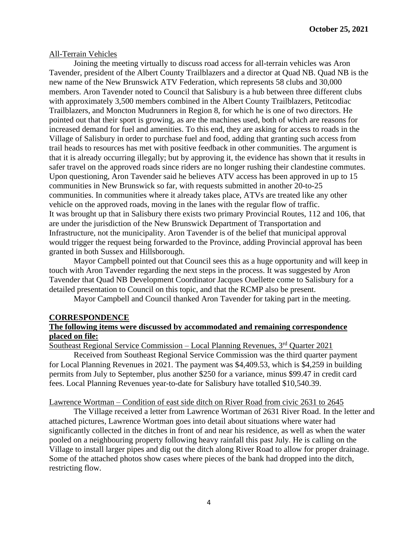#### All-Terrain Vehicles

Joining the meeting virtually to discuss road access for all-terrain vehicles was Aron Tavender, president of the Albert County Trailblazers and a director at Quad NB. Quad NB is the new name of the New Brunswick ATV Federation, which represents 58 clubs and 30,000 members. Aron Tavender noted to Council that Salisbury is a hub between three different clubs with approximately 3,500 members combined in the Albert County Trailblazers, Petitcodiac Trailblazers, and Moncton Mudrunners in Region 8, for which he is one of two directors. He pointed out that their sport is growing, as are the machines used, both of which are reasons for increased demand for fuel and amenities. To this end, they are asking for access to roads in the Village of Salisbury in order to purchase fuel and food, adding that granting such access from trail heads to resources has met with positive feedback in other communities. The argument is that it is already occurring illegally; but by approving it, the evidence has shown that it results in safer travel on the approved roads since riders are no longer rushing their clandestine commutes. Upon questioning, Aron Tavender said he believes ATV access has been approved in up to 15 communities in New Brunswick so far, with requests submitted in another 20-to-25 communities. In communities where it already takes place, ATVs are treated like any other vehicle on the approved roads, moving in the lanes with the regular flow of traffic. It was brought up that in Salisbury there exists two primary Provincial Routes, 112 and 106, that are under the jurisdiction of the New Brunswick Department of Transportation and Infrastructure, not the municipality. Aron Tavender is of the belief that municipal approval would trigger the request being forwarded to the Province, adding Provincial approval has been granted in both Sussex and Hillsborough.

Mayor Campbell pointed out that Council sees this as a huge opportunity and will keep in touch with Aron Tavender regarding the next steps in the process. It was suggested by Aron Tavender that Quad NB Development Coordinator Jacques Ouellette come to Salisbury for a detailed presentation to Council on this topic, and that the RCMP also be present.

Mayor Campbell and Council thanked Aron Tavender for taking part in the meeting.

#### **CORRESPONDENCE**

### **The following items were discussed by accommodated and remaining correspondence placed on file:**

Southeast Regional Service Commission – Local Planning Revenues,  $3<sup>rd</sup>$  Quarter 2021

Received from Southeast Regional Service Commission was the third quarter payment for Local Planning Revenues in 2021. The payment was \$4,409.53, which is \$4,259 in building permits from July to September, plus another \$250 for a variance, minus \$99.47 in credit card fees. Local Planning Revenues year-to-date for Salisbury have totalled \$10,540.39.

#### Lawrence Wortman – Condition of east side ditch on River Road from civic 2631 to 2645

The Village received a letter from Lawrence Wortman of 2631 River Road. In the letter and attached pictures, Lawrence Wortman goes into detail about situations where water had significantly collected in the ditches in front of and near his residence, as well as when the water pooled on a neighbouring property following heavy rainfall this past July. He is calling on the Village to install larger pipes and dig out the ditch along River Road to allow for proper drainage. Some of the attached photos show cases where pieces of the bank had dropped into the ditch, restricting flow.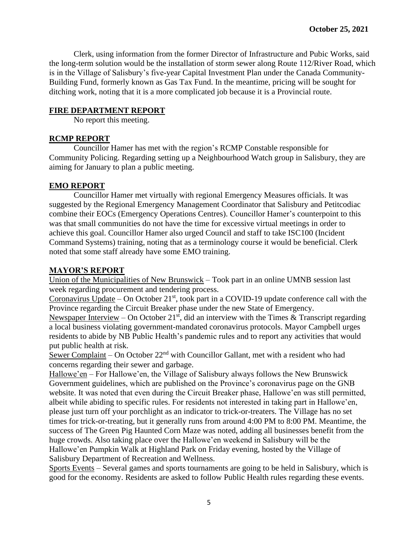Clerk, using information from the former Director of Infrastructure and Pubic Works, said the long-term solution would be the installation of storm sewer along Route 112/River Road, which is in the Village of Salisbury's five-year Capital Investment Plan under the Canada Community-Building Fund, formerly known as Gas Tax Fund. In the meantime, pricing will be sought for ditching work, noting that it is a more complicated job because it is a Provincial route.

# **FIRE DEPARTMENT REPORT**

No report this meeting.

# **RCMP REPORT**

Councillor Hamer has met with the region's RCMP Constable responsible for Community Policing. Regarding setting up a Neighbourhood Watch group in Salisbury, they are aiming for January to plan a public meeting.

# **EMO REPORT**

Councillor Hamer met virtually with regional Emergency Measures officials. It was suggested by the Regional Emergency Management Coordinator that Salisbury and Petitcodiac combine their EOCs (Emergency Operations Centres). Councillor Hamer's counterpoint to this was that small communities do not have the time for excessive virtual meetings in order to achieve this goal. Councillor Hamer also urged Council and staff to take ISC100 (Incident Command Systems) training, noting that as a terminology course it would be beneficial. Clerk noted that some staff already have some EMO training.

# **MAYOR'S REPORT**

Union of the Municipalities of New Brunswick – Took part in an online UMNB session last week regarding procurement and tendering process.

Coronavirus Update – On October  $21<sup>st</sup>$ , took part in a COVID-19 update conference call with the Province regarding the Circuit Breaker phase under the new State of Emergency.

Newspaper Interview – On October 21<sup>st</sup>, did an interview with the Times & Transcript regarding a local business violating government-mandated coronavirus protocols. Mayor Campbell urges residents to abide by NB Public Health's pandemic rules and to report any activities that would put public health at risk.

Sewer Complaint – On October  $22<sup>nd</sup>$  with Councillor Gallant, met with a resident who had concerns regarding their sewer and garbage.

Hallowe'en – For Hallowe'en, the Village of Salisbury always follows the New Brunswick Government guidelines, which are published on the Province's coronavirus page on the GNB website. It was noted that even during the Circuit Breaker phase, Hallowe'en was still permitted, albeit while abiding to specific rules. For residents not interested in taking part in Hallowe'en, please just turn off your porchlight as an indicator to trick-or-treaters. The Village has no set times for trick-or-treating, but it generally runs from around 4:00 PM to 8:00 PM. Meantime, the success of The Green Pig Haunted Corn Maze was noted, adding all businesses benefit from the huge crowds. Also taking place over the Hallowe'en weekend in Salisbury will be the Hallowe'en Pumpkin Walk at Highland Park on Friday evening, hosted by the Village of Salisbury Department of Recreation and Wellness.

Sports Events – Several games and sports tournaments are going to be held in Salisbury, which is good for the economy. Residents are asked to follow Public Health rules regarding these events.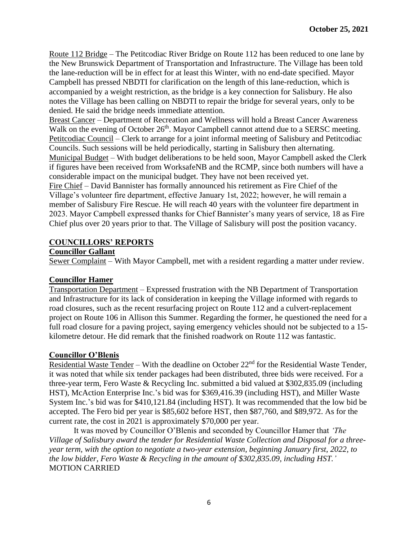Route 112 Bridge – The Petitcodiac River Bridge on Route 112 has been reduced to one lane by the New Brunswick Department of Transportation and Infrastructure. The Village has been told the lane-reduction will be in effect for at least this Winter, with no end-date specified. Mayor Campbell has pressed NBDTI for clarification on the length of this lane-reduction, which is accompanied by a weight restriction, as the bridge is a key connection for Salisbury. He also notes the Village has been calling on NBDTI to repair the bridge for several years, only to be denied. He said the bridge needs immediate attention.

Breast Cancer – Department of Recreation and Wellness will hold a Breast Cancer Awareness Walk on the evening of October 26<sup>th</sup>. Mayor Campbell cannot attend due to a SERSC meeting. Petitcodiac Council – Clerk to arrange for a joint informal meeting of Salisbury and Petitcodiac Councils. Such sessions will be held periodically, starting in Salisbury then alternating. Municipal Budget – With budget deliberations to be held soon, Mayor Campbell asked the Clerk

if figures have been received from WorksafeNB and the RCMP, since both numbers will have a considerable impact on the municipal budget. They have not been received yet.

Fire Chief – David Bannister has formally announced his retirement as Fire Chief of the Village's volunteer fire department, effective January 1st, 2022; however, he will remain a member of Salisbury Fire Rescue. He will reach 40 years with the volunteer fire department in 2023. Mayor Campbell expressed thanks for Chief Bannister's many years of service, 18 as Fire Chief plus over 20 years prior to that. The Village of Salisbury will post the position vacancy.

# **COUNCILLORS' REPORTS**

### **Councillor Gallant**

Sewer Complaint – With Mayor Campbell, met with a resident regarding a matter under review.

### **Councillor Hamer**

Transportation Department – Expressed frustration with the NB Department of Transportation and Infrastructure for its lack of consideration in keeping the Village informed with regards to road closures, such as the recent resurfacing project on Route 112 and a culvert-replacement project on Route 106 in Allison this Summer. Regarding the former, he questioned the need for a full road closure for a paving project, saying emergency vehicles should not be subjected to a 15 kilometre detour. He did remark that the finished roadwork on Route 112 was fantastic.

### **Councillor O'Blenis**

Residential Waste Tender – With the deadline on October  $22<sup>nd</sup>$  for the Residential Waste Tender, it was noted that while six tender packages had been distributed, three bids were received. For a three-year term, Fero Waste & Recycling Inc. submitted a bid valued at \$302,835.09 (including HST), McAction Enterprise Inc.'s bid was for \$369,416.39 (including HST), and Miller Waste System Inc.'s bid was for \$410,121.84 (including HST). It was recommended that the low bid be accepted. The Fero bid per year is \$85,602 before HST, then \$87,760, and \$89,972. As for the current rate, the cost in 2021 is approximately \$70,000 per year.

It was moved by Councillor O'Blenis and seconded by Councillor Hamer that *'The Village of Salisbury award the tender for Residential Waste Collection and Disposal for a threeyear term, with the option to negotiate a two-year extension, beginning January first, 2022, to the low bidder, Fero Waste & Recycling in the amount of \$302,835.09, including HST.'*  MOTION CARRIED